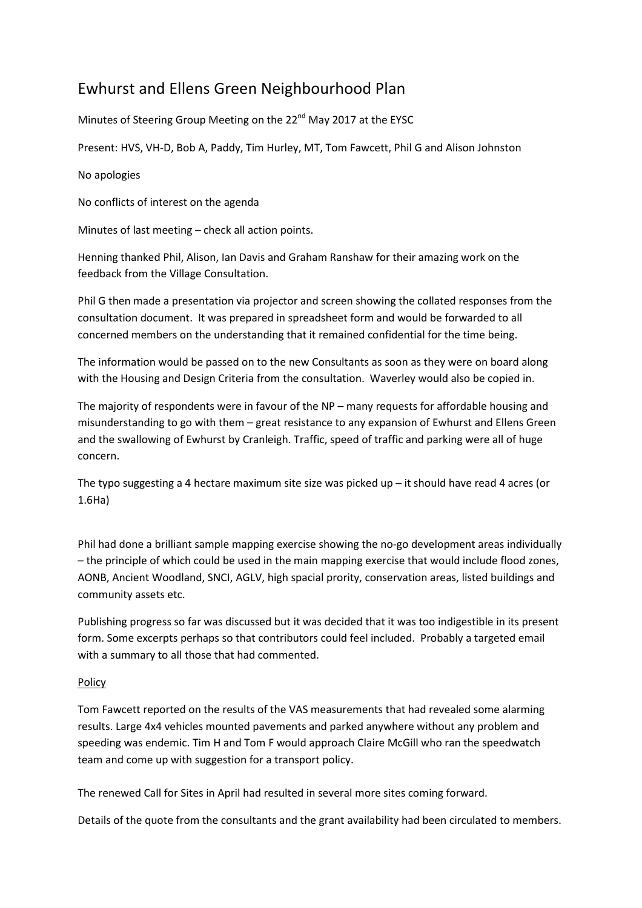## Ewhurst and Ellens Green Neighbourhood Plan

Minutes of Steering Group Meeting on the 22<sup>nd</sup> May 2017 at the EYSC

Present: HVS, VH-D, Bob A, Paddy, Tim Hurley, MT, Tom Fawcett, Phil G and Alison Johnston

No apologies

No conflicts of interest on the agenda

Minutes of last meeting – check all action points.

Henning thanked Phil, Alison, Ian Davis and Graham Ranshaw for their amazing work on the feedback from the Village Consultation.

Phil G then made a presentation via projector and screen showing the collated responses from the consultation document. It was prepared in spreadsheet form and would be forwarded to all concerned members on the understanding that it remained confidential for the time being.

The information would be passed on to the new Consultants as soon as they were on board along with the Housing and Design Criteria from the consultation. Waverley would also be copied in.

The majority of respondents were in favour of the NP – many requests for affordable housing and misunderstanding to go with them – great resistance to any expansion of Ewhurst and Ellens Green and the swallowing of Ewhurst by Cranleigh. Traffic, speed of traffic and parking were all of huge concern.

The typo suggesting a 4 hectare maximum site size was picked up  $-$  it should have read 4 acres (or 1.6Ha)

Phil had done a brilliant sample mapping exercise showing the no-go development areas individually – the principle of which could be used in the main mapping exercise that would include flood zones, AONB, Ancient Woodland, SNCI, AGLV, high spacial prority, conservation areas, listed buildings and community assets etc.

Publishing progress so far was discussed but it was decided that it was too indigestible in its present form. Some excerpts perhaps so that contributors could feel included. Probably a targeted email with a summary to all those that had commented.

## Policy

Tom Fawcett reported on the results of the VAS measurements that had revealed some alarming results. Large 4x4 vehicles mounted pavements and parked anywhere without any problem and speeding was endemic. Tim H and Tom F would approach Claire McGill who ran the speedwatch team and come up with suggestion for a transport policy.

The renewed Call for Sites in April had resulted in several more sites coming forward.

Details of the quote from the consultants and the grant availability had been circulated to members.